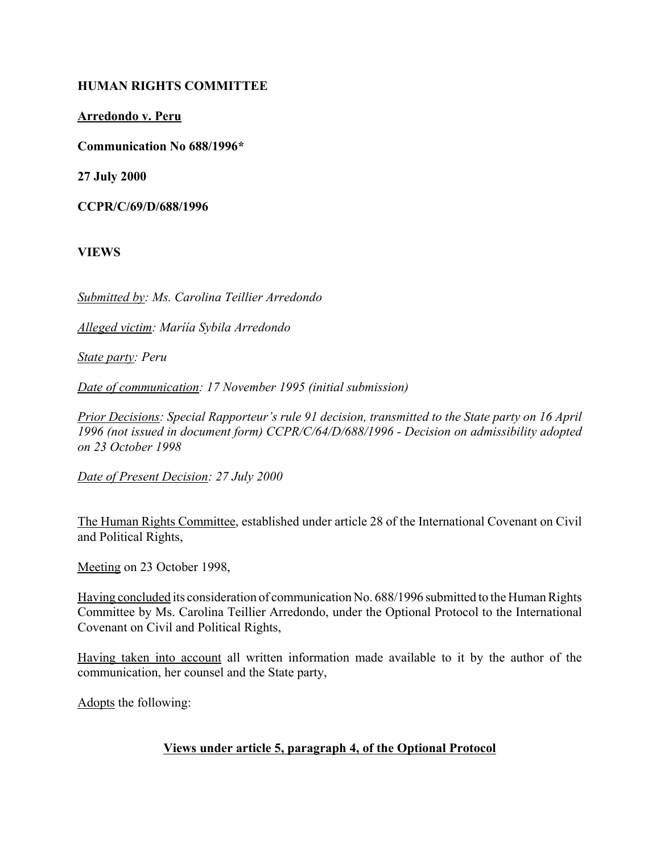## **HUMAN RIGHTS COMMITTEE**

#### **Arredondo v. Peru**

**Communication No 688/1996\***

**27 July 2000**

**CCPR/C/69/D/688/1996**

**VIEWS**

*Submitted by: Ms. Carolina Teillier Arredondo* 

*Alleged victim: MarÌÌa Sybila Arredondo* 

*State party: Peru* 

*Date of communication: 17 November 1995 (initial submission)*

*Prior Decisions: Special Rapporteur's rule 91 decision, transmitted to the State party on 16 April 1996 (not issued in document form) CCPR/C/64/D/688/1996 - Decision on admissibility adopted on 23 October 1998*

*Date of Present Decision: 27 July 2000*

The Human Rights Committee, established under article 28 of the International Covenant on Civil and Political Rights,

Meeting on 23 October 1998,

Having concluded its consideration of communication No. 688/1996 submitted to the Human Rights Committee by Ms. Carolina Teillier Arredondo, under the Optional Protocol to the International Covenant on Civil and Political Rights,

Having taken into account all written information made available to it by the author of the communication, her counsel and the State party,

Adopts the following:

## **Views under article 5, paragraph 4, of the Optional Protocol**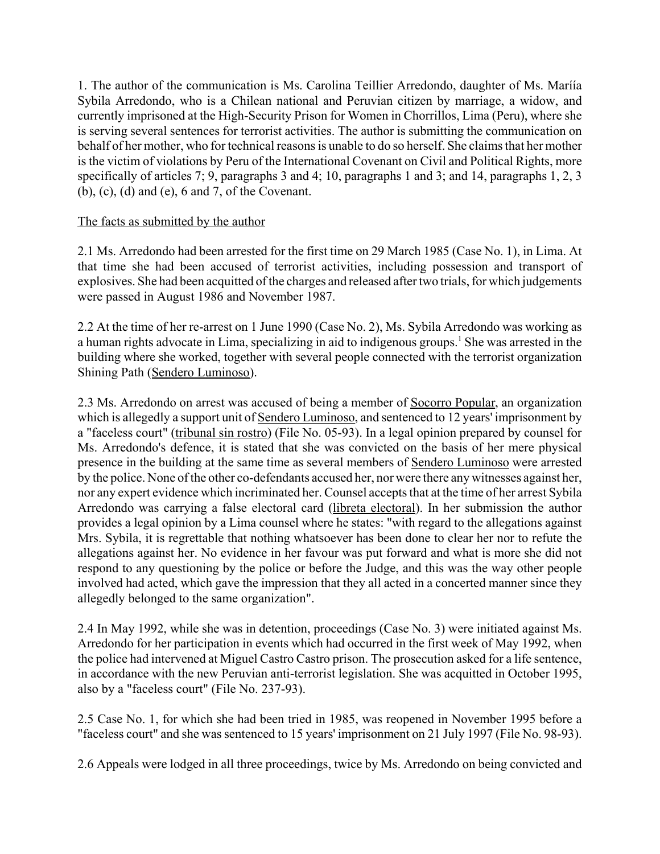1. The author of the communication is Ms. Carolina Teillier Arredondo, daughter of Ms. Maríía Sybila Arredondo, who is a Chilean national and Peruvian citizen by marriage, a widow, and currently imprisoned at the High-Security Prison for Women in Chorrillos, Lima (Peru), where she is serving several sentences for terrorist activities. The author is submitting the communication on behalf of her mother, who for technical reasons is unable to do so herself. She claims that her mother is the victim of violations by Peru of the International Covenant on Civil and Political Rights, more specifically of articles 7; 9, paragraphs 3 and 4; 10, paragraphs 1 and 3; and 14, paragraphs 1, 2, 3  $(b)$ ,  $(c)$ ,  $(d)$  and  $(e)$ ,  $6$  and  $7$ ,  $of$  the Covenant.

## The facts as submitted by the author

2.1 Ms. Arredondo had been arrested for the first time on 29 March 1985 (Case No. 1), in Lima. At that time she had been accused of terrorist activities, including possession and transport of explosives. She had been acquitted of the charges and released after two trials, for which judgements were passed in August 1986 and November 1987.

2.2 At the time of her re-arrest on 1 June 1990 (Case No. 2), Ms. Sybila Arredondo was working as a human rights advocate in Lima, specializing in aid to indigenous groups.<sup>1</sup> She was arrested in the building where she worked, together with several people connected with the terrorist organization Shining Path (Sendero Luminoso).

2.3 Ms. Arredondo on arrest was accused of being a member of <u>Socorro Popular</u>, an organization which is allegedly a support unit of Sendero Luminoso, and sentenced to 12 years' imprisonment by a "faceless court" (tribunal sin rostro) (File No. 05-93). In a legal opinion prepared by counsel for Ms. Arredondo's defence, it is stated that she was convicted on the basis of her mere physical presence in the building at the same time as several members of Sendero Luminoso were arrested by the police. None of the other co-defendants accused her, nor were there any witnesses against her, nor any expert evidence which incriminated her. Counsel accepts that at the time of her arrest Sybila Arredondo was carrying a false electoral card (libreta electoral). In her submission the author provides a legal opinion by a Lima counsel where he states: "with regard to the allegations against Mrs. Sybila, it is regrettable that nothing whatsoever has been done to clear her nor to refute the allegations against her. No evidence in her favour was put forward and what is more she did not respond to any questioning by the police or before the Judge, and this was the way other people involved had acted, which gave the impression that they all acted in a concerted manner since they allegedly belonged to the same organization".

2.4 In May 1992, while she was in detention, proceedings (Case No. 3) were initiated against Ms. Arredondo for her participation in events which had occurred in the first week of May 1992, when the police had intervened at Miguel Castro Castro prison. The prosecution asked for a life sentence, in accordance with the new Peruvian anti-terrorist legislation. She was acquitted in October 1995, also by a "faceless court" (File No. 237-93).

2.5 Case No. 1, for which she had been tried in 1985, was reopened in November 1995 before a "faceless court" and she was sentenced to 15 years' imprisonment on 21 July 1997 (File No. 98-93).

2.6 Appeals were lodged in all three proceedings, twice by Ms. Arredondo on being convicted and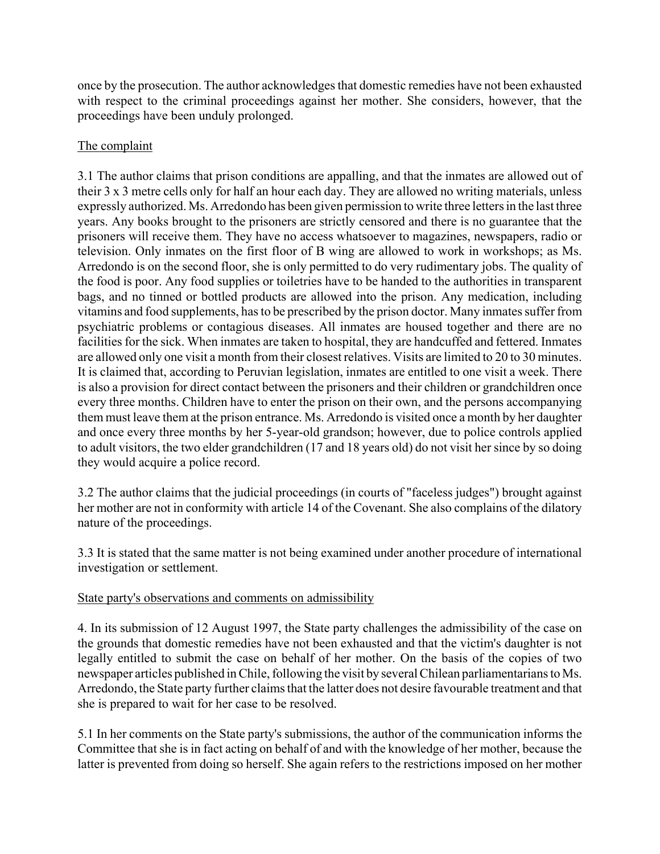once by the prosecution. The author acknowledges that domestic remedies have not been exhausted with respect to the criminal proceedings against her mother. She considers, however, that the proceedings have been unduly prolonged.

# The complaint

3.1 The author claims that prison conditions are appalling, and that the inmates are allowed out of their 3 x 3 metre cells only for half an hour each day. They are allowed no writing materials, unless expressly authorized. Ms. Arredondo has been given permission to write three letters in the last three years. Any books brought to the prisoners are strictly censored and there is no guarantee that the prisoners will receive them. They have no access whatsoever to magazines, newspapers, radio or television. Only inmates on the first floor of B wing are allowed to work in workshops; as Ms. Arredondo is on the second floor, she is only permitted to do very rudimentary jobs. The quality of the food is poor. Any food supplies or toiletries have to be handed to the authorities in transparent bags, and no tinned or bottled products are allowed into the prison. Any medication, including vitamins and food supplements, has to be prescribed by the prison doctor. Many inmates suffer from psychiatric problems or contagious diseases. All inmates are housed together and there are no facilities for the sick. When inmates are taken to hospital, they are handcuffed and fettered. Inmates are allowed only one visit a month from their closest relatives. Visits are limited to 20 to 30 minutes. It is claimed that, according to Peruvian legislation, inmates are entitled to one visit a week. There is also a provision for direct contact between the prisoners and their children or grandchildren once every three months. Children have to enter the prison on their own, and the persons accompanying them must leave them at the prison entrance. Ms. Arredondo is visited once a month by her daughter and once every three months by her 5-year-old grandson; however, due to police controls applied to adult visitors, the two elder grandchildren (17 and 18 years old) do not visit her since by so doing they would acquire a police record.

3.2 The author claims that the judicial proceedings (in courts of "faceless judges") brought against her mother are not in conformity with article 14 of the Covenant. She also complains of the dilatory nature of the proceedings.

3.3 It is stated that the same matter is not being examined under another procedure of international investigation or settlement.

## State party's observations and comments on admissibility

4. In its submission of 12 August 1997, the State party challenges the admissibility of the case on the grounds that domestic remedies have not been exhausted and that the victim's daughter is not legally entitled to submit the case on behalf of her mother. On the basis of the copies of two newspaper articles published in Chile, following the visit by several Chilean parliamentarians to Ms. Arredondo, the State party further claims that the latter does not desire favourable treatment and that she is prepared to wait for her case to be resolved.

5.1 In her comments on the State party's submissions, the author of the communication informs the Committee that she is in fact acting on behalf of and with the knowledge of her mother, because the latter is prevented from doing so herself. She again refers to the restrictions imposed on her mother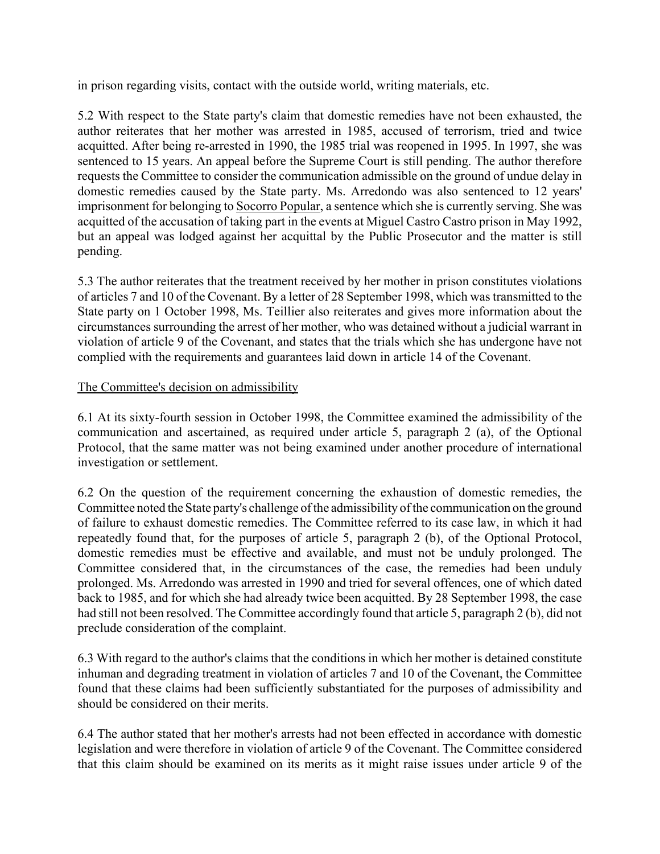in prison regarding visits, contact with the outside world, writing materials, etc.

5.2 With respect to the State party's claim that domestic remedies have not been exhausted, the author reiterates that her mother was arrested in 1985, accused of terrorism, tried and twice acquitted. After being re-arrested in 1990, the 1985 trial was reopened in 1995. In 1997, she was sentenced to 15 years. An appeal before the Supreme Court is still pending. The author therefore requests the Committee to consider the communication admissible on the ground of undue delay in domestic remedies caused by the State party. Ms. Arredondo was also sentenced to 12 years' imprisonment for belonging to Socorro Popular, a sentence which she is currently serving. She was acquitted of the accusation of taking part in the events at Miguel Castro Castro prison in May 1992, but an appeal was lodged against her acquittal by the Public Prosecutor and the matter is still pending.

5.3 The author reiterates that the treatment received by her mother in prison constitutes violations of articles 7 and 10 of the Covenant. By a letter of 28 September 1998, which was transmitted to the State party on 1 October 1998, Ms. Teillier also reiterates and gives more information about the circumstances surrounding the arrest of her mother, who was detained without a judicial warrant in violation of article 9 of the Covenant, and states that the trials which she has undergone have not complied with the requirements and guarantees laid down in article 14 of the Covenant.

#### The Committee's decision on admissibility

6.1 At its sixty-fourth session in October 1998, the Committee examined the admissibility of the communication and ascertained, as required under article 5, paragraph 2 (a), of the Optional Protocol, that the same matter was not being examined under another procedure of international investigation or settlement.

6.2 On the question of the requirement concerning the exhaustion of domestic remedies, the Committee noted the State party's challenge of the admissibility of the communication on the ground of failure to exhaust domestic remedies. The Committee referred to its case law, in which it had repeatedly found that, for the purposes of article 5, paragraph 2 (b), of the Optional Protocol, domestic remedies must be effective and available, and must not be unduly prolonged. The Committee considered that, in the circumstances of the case, the remedies had been unduly prolonged. Ms. Arredondo was arrested in 1990 and tried for several offences, one of which dated back to 1985, and for which she had already twice been acquitted. By 28 September 1998, the case had still not been resolved. The Committee accordingly found that article 5, paragraph 2 (b), did not preclude consideration of the complaint.

6.3 With regard to the author's claims that the conditions in which her mother is detained constitute inhuman and degrading treatment in violation of articles 7 and 10 of the Covenant, the Committee found that these claims had been sufficiently substantiated for the purposes of admissibility and should be considered on their merits.

6.4 The author stated that her mother's arrests had not been effected in accordance with domestic legislation and were therefore in violation of article 9 of the Covenant. The Committee considered that this claim should be examined on its merits as it might raise issues under article 9 of the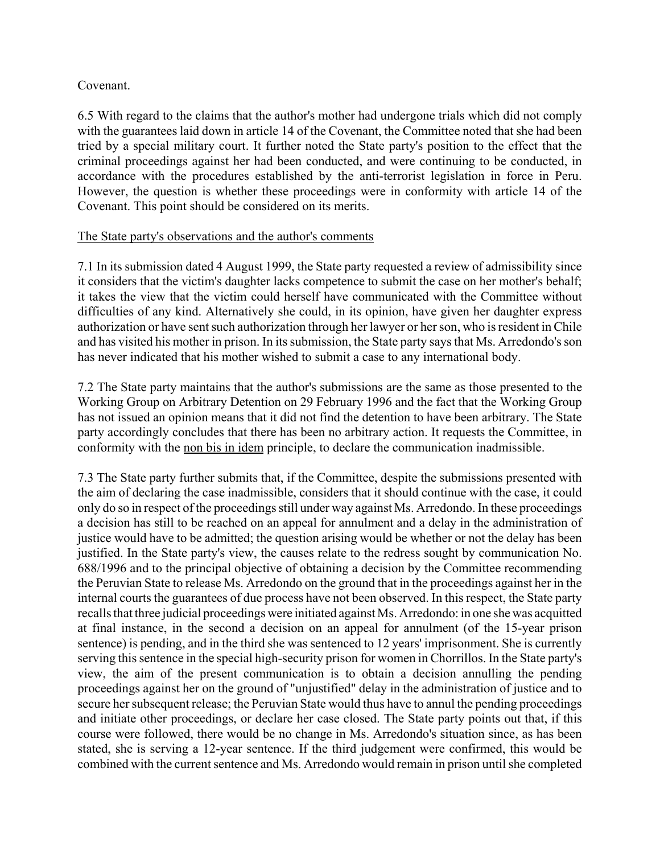#### Covenant.

6.5 With regard to the claims that the author's mother had undergone trials which did not comply with the guarantees laid down in article 14 of the Covenant, the Committee noted that she had been tried by a special military court. It further noted the State party's position to the effect that the criminal proceedings against her had been conducted, and were continuing to be conducted, in accordance with the procedures established by the anti-terrorist legislation in force in Peru. However, the question is whether these proceedings were in conformity with article 14 of the Covenant. This point should be considered on its merits.

#### The State party's observations and the author's comments

7.1 In its submission dated 4 August 1999, the State party requested a review of admissibility since it considers that the victim's daughter lacks competence to submit the case on her mother's behalf; it takes the view that the victim could herself have communicated with the Committee without difficulties of any kind. Alternatively she could, in its opinion, have given her daughter express authorization or have sent such authorization through her lawyer or her son, who is resident in Chile and has visited his mother in prison. In its submission, the State party says that Ms. Arredondo's son has never indicated that his mother wished to submit a case to any international body.

7.2 The State party maintains that the author's submissions are the same as those presented to the Working Group on Arbitrary Detention on 29 February 1996 and the fact that the Working Group has not issued an opinion means that it did not find the detention to have been arbitrary. The State party accordingly concludes that there has been no arbitrary action. It requests the Committee, in conformity with the non bis in idem principle, to declare the communication inadmissible.

7.3 The State party further submits that, if the Committee, despite the submissions presented with the aim of declaring the case inadmissible, considers that it should continue with the case, it could only do so in respect of the proceedings still under way against Ms. Arredondo. In these proceedings a decision has still to be reached on an appeal for annulment and a delay in the administration of justice would have to be admitted; the question arising would be whether or not the delay has been justified. In the State party's view, the causes relate to the redress sought by communication No. 688/1996 and to the principal objective of obtaining a decision by the Committee recommending the Peruvian State to release Ms. Arredondo on the ground that in the proceedings against her in the internal courts the guarantees of due process have not been observed. In this respect, the State party recalls that three judicial proceedings were initiated against Ms. Arredondo: in one she was acquitted at final instance, in the second a decision on an appeal for annulment (of the 15-year prison sentence) is pending, and in the third she was sentenced to 12 years' imprisonment. She is currently serving this sentence in the special high-security prison for women in Chorrillos. In the State party's view, the aim of the present communication is to obtain a decision annulling the pending proceedings against her on the ground of "unjustified" delay in the administration of justice and to secure her subsequent release; the Peruvian State would thus have to annul the pending proceedings and initiate other proceedings, or declare her case closed. The State party points out that, if this course were followed, there would be no change in Ms. Arredondo's situation since, as has been stated, she is serving a 12-year sentence. If the third judgement were confirmed, this would be combined with the current sentence and Ms. Arredondo would remain in prison until she completed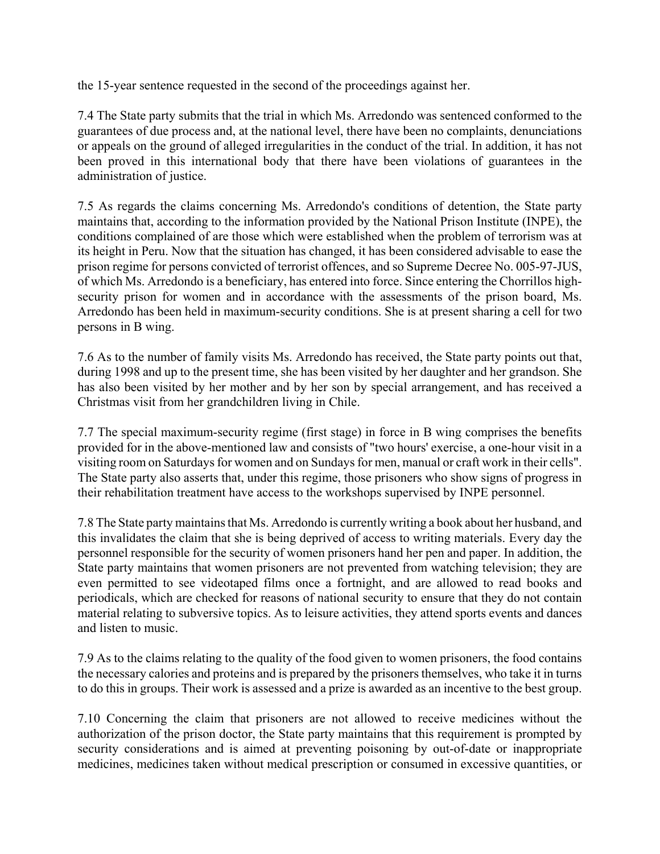the 15-year sentence requested in the second of the proceedings against her.

7.4 The State party submits that the trial in which Ms. Arredondo was sentenced conformed to the guarantees of due process and, at the national level, there have been no complaints, denunciations or appeals on the ground of alleged irregularities in the conduct of the trial. In addition, it has not been proved in this international body that there have been violations of guarantees in the administration of justice.

7.5 As regards the claims concerning Ms. Arredondo's conditions of detention, the State party maintains that, according to the information provided by the National Prison Institute (INPE), the conditions complained of are those which were established when the problem of terrorism was at its height in Peru. Now that the situation has changed, it has been considered advisable to ease the prison regime for persons convicted of terrorist offences, and so Supreme Decree No. 005-97-JUS, of which Ms. Arredondo is a beneficiary, has entered into force. Since entering the Chorrillos highsecurity prison for women and in accordance with the assessments of the prison board, Ms. Arredondo has been held in maximum-security conditions. She is at present sharing a cell for two persons in B wing.

7.6 As to the number of family visits Ms. Arredondo has received, the State party points out that, during 1998 and up to the present time, she has been visited by her daughter and her grandson. She has also been visited by her mother and by her son by special arrangement, and has received a Christmas visit from her grandchildren living in Chile.

7.7 The special maximum-security regime (first stage) in force in B wing comprises the benefits provided for in the above-mentioned law and consists of "two hours' exercise, a one-hour visit in a visiting room on Saturdays for women and on Sundays for men, manual or craft work in their cells". The State party also asserts that, under this regime, those prisoners who show signs of progress in their rehabilitation treatment have access to the workshops supervised by INPE personnel.

7.8 The State party maintains that Ms. Arredondo is currently writing a book about her husband, and this invalidates the claim that she is being deprived of access to writing materials. Every day the personnel responsible for the security of women prisoners hand her pen and paper. In addition, the State party maintains that women prisoners are not prevented from watching television; they are even permitted to see videotaped films once a fortnight, and are allowed to read books and periodicals, which are checked for reasons of national security to ensure that they do not contain material relating to subversive topics. As to leisure activities, they attend sports events and dances and listen to music.

7.9 As to the claims relating to the quality of the food given to women prisoners, the food contains the necessary calories and proteins and is prepared by the prisoners themselves, who take it in turns to do this in groups. Their work is assessed and a prize is awarded as an incentive to the best group.

7.10 Concerning the claim that prisoners are not allowed to receive medicines without the authorization of the prison doctor, the State party maintains that this requirement is prompted by security considerations and is aimed at preventing poisoning by out-of-date or inappropriate medicines, medicines taken without medical prescription or consumed in excessive quantities, or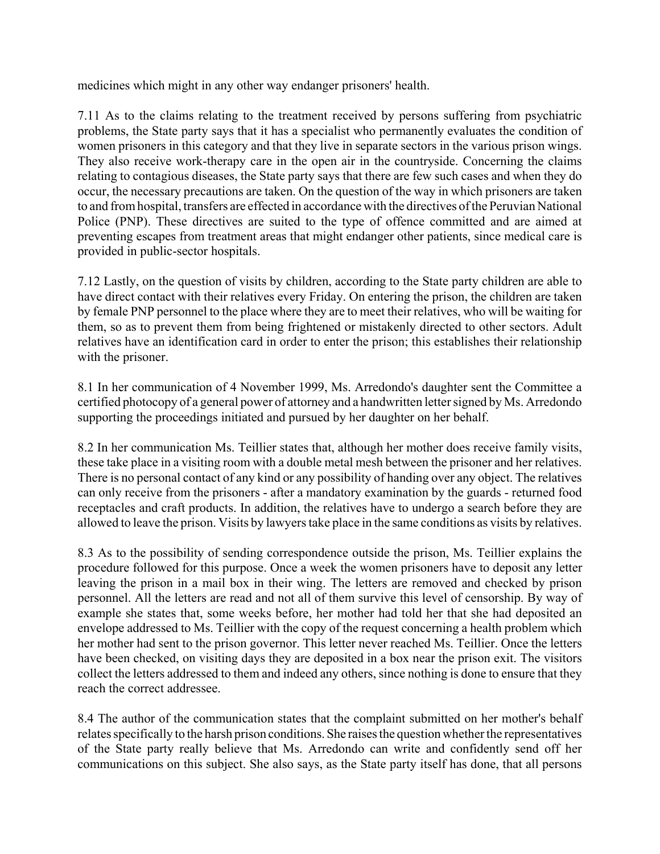medicines which might in any other way endanger prisoners' health.

7.11 As to the claims relating to the treatment received by persons suffering from psychiatric problems, the State party says that it has a specialist who permanently evaluates the condition of women prisoners in this category and that they live in separate sectors in the various prison wings. They also receive work-therapy care in the open air in the countryside. Concerning the claims relating to contagious diseases, the State party says that there are few such cases and when they do occur, the necessary precautions are taken. On the question of the way in which prisoners are taken to and from hospital, transfers are effected in accordance with the directives of the Peruvian National Police (PNP). These directives are suited to the type of offence committed and are aimed at preventing escapes from treatment areas that might endanger other patients, since medical care is provided in public-sector hospitals.

7.12 Lastly, on the question of visits by children, according to the State party children are able to have direct contact with their relatives every Friday. On entering the prison, the children are taken by female PNP personnel to the place where they are to meet their relatives, who will be waiting for them, so as to prevent them from being frightened or mistakenly directed to other sectors. Adult relatives have an identification card in order to enter the prison; this establishes their relationship with the prisoner.

8.1 In her communication of 4 November 1999, Ms. Arredondo's daughter sent the Committee a certified photocopy of a general power of attorney and a handwritten letter signed by Ms. Arredondo supporting the proceedings initiated and pursued by her daughter on her behalf.

8.2 In her communication Ms. Teillier states that, although her mother does receive family visits, these take place in a visiting room with a double metal mesh between the prisoner and her relatives. There is no personal contact of any kind or any possibility of handing over any object. The relatives can only receive from the prisoners - after a mandatory examination by the guards - returned food receptacles and craft products. In addition, the relatives have to undergo a search before they are allowed to leave the prison. Visits by lawyers take place in the same conditions as visits by relatives.

8.3 As to the possibility of sending correspondence outside the prison, Ms. Teillier explains the procedure followed for this purpose. Once a week the women prisoners have to deposit any letter leaving the prison in a mail box in their wing. The letters are removed and checked by prison personnel. All the letters are read and not all of them survive this level of censorship. By way of example she states that, some weeks before, her mother had told her that she had deposited an envelope addressed to Ms. Teillier with the copy of the request concerning a health problem which her mother had sent to the prison governor. This letter never reached Ms. Teillier. Once the letters have been checked, on visiting days they are deposited in a box near the prison exit. The visitors collect the letters addressed to them and indeed any others, since nothing is done to ensure that they reach the correct addressee.

8.4 The author of the communication states that the complaint submitted on her mother's behalf relates specifically to the harsh prison conditions. She raises the question whether the representatives of the State party really believe that Ms. Arredondo can write and confidently send off her communications on this subject. She also says, as the State party itself has done, that all persons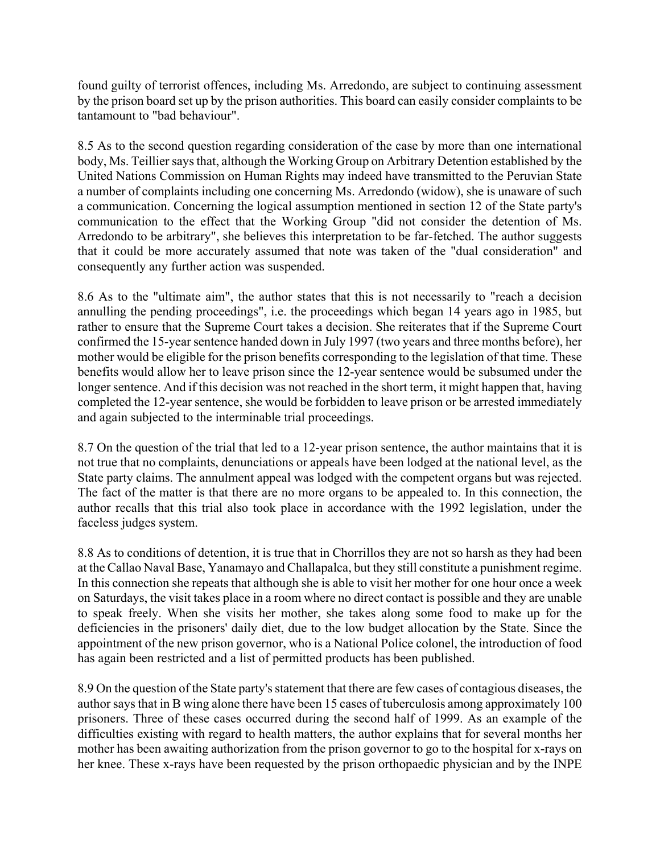found guilty of terrorist offences, including Ms. Arredondo, are subject to continuing assessment by the prison board set up by the prison authorities. This board can easily consider complaints to be tantamount to "bad behaviour".

8.5 As to the second question regarding consideration of the case by more than one international body, Ms. Teillier says that, although the Working Group on Arbitrary Detention established by the United Nations Commission on Human Rights may indeed have transmitted to the Peruvian State a number of complaints including one concerning Ms. Arredondo (widow), she is unaware of such a communication. Concerning the logical assumption mentioned in section 12 of the State party's communication to the effect that the Working Group "did not consider the detention of Ms. Arredondo to be arbitrary", she believes this interpretation to be far-fetched. The author suggests that it could be more accurately assumed that note was taken of the "dual consideration" and consequently any further action was suspended.

8.6 As to the "ultimate aim", the author states that this is not necessarily to "reach a decision annulling the pending proceedings", i.e. the proceedings which began 14 years ago in 1985, but rather to ensure that the Supreme Court takes a decision. She reiterates that if the Supreme Court confirmed the 15-year sentence handed down in July 1997 (two years and three months before), her mother would be eligible for the prison benefits corresponding to the legislation of that time. These benefits would allow her to leave prison since the 12-year sentence would be subsumed under the longer sentence. And if this decision was not reached in the short term, it might happen that, having completed the 12-year sentence, she would be forbidden to leave prison or be arrested immediately and again subjected to the interminable trial proceedings.

8.7 On the question of the trial that led to a 12-year prison sentence, the author maintains that it is not true that no complaints, denunciations or appeals have been lodged at the national level, as the State party claims. The annulment appeal was lodged with the competent organs but was rejected. The fact of the matter is that there are no more organs to be appealed to. In this connection, the author recalls that this trial also took place in accordance with the 1992 legislation, under the faceless judges system.

8.8 As to conditions of detention, it is true that in Chorrillos they are not so harsh as they had been at the Callao Naval Base, Yanamayo and Challapalca, but they still constitute a punishment regime. In this connection she repeats that although she is able to visit her mother for one hour once a week on Saturdays, the visit takes place in a room where no direct contact is possible and they are unable to speak freely. When she visits her mother, she takes along some food to make up for the deficiencies in the prisoners' daily diet, due to the low budget allocation by the State. Since the appointment of the new prison governor, who is a National Police colonel, the introduction of food has again been restricted and a list of permitted products has been published.

8.9 On the question of the State party's statement that there are few cases of contagious diseases, the author says that in B wing alone there have been 15 cases of tuberculosis among approximately 100 prisoners. Three of these cases occurred during the second half of 1999. As an example of the difficulties existing with regard to health matters, the author explains that for several months her mother has been awaiting authorization from the prison governor to go to the hospital for x-rays on her knee. These x-rays have been requested by the prison orthopaedic physician and by the INPE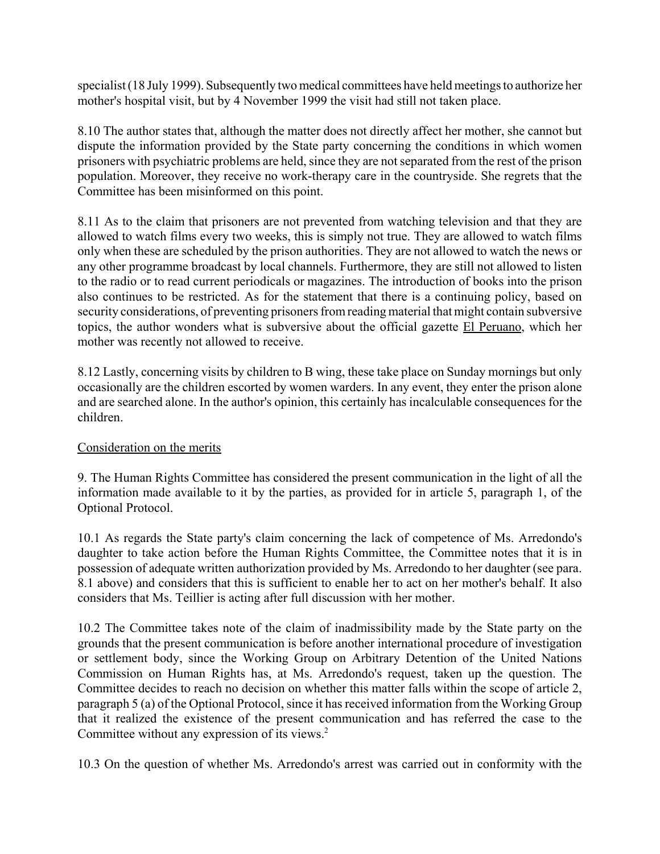specialist (18 July 1999). Subsequently two medical committees have held meetings to authorize her mother's hospital visit, but by 4 November 1999 the visit had still not taken place.

8.10 The author states that, although the matter does not directly affect her mother, she cannot but dispute the information provided by the State party concerning the conditions in which women prisoners with psychiatric problems are held, since they are not separated from the rest of the prison population. Moreover, they receive no work-therapy care in the countryside. She regrets that the Committee has been misinformed on this point.

8.11 As to the claim that prisoners are not prevented from watching television and that they are allowed to watch films every two weeks, this is simply not true. They are allowed to watch films only when these are scheduled by the prison authorities. They are not allowed to watch the news or any other programme broadcast by local channels. Furthermore, they are still not allowed to listen to the radio or to read current periodicals or magazines. The introduction of books into the prison also continues to be restricted. As for the statement that there is a continuing policy, based on security considerations, of preventing prisoners from reading material that might contain subversive topics, the author wonders what is subversive about the official gazette El Peruano, which her mother was recently not allowed to receive.

8.12 Lastly, concerning visits by children to B wing, these take place on Sunday mornings but only occasionally are the children escorted by women warders. In any event, they enter the prison alone and are searched alone. In the author's opinion, this certainly has incalculable consequences for the children.

## Consideration on the merits

9. The Human Rights Committee has considered the present communication in the light of all the information made available to it by the parties, as provided for in article 5, paragraph 1, of the Optional Protocol.

10.1 As regards the State party's claim concerning the lack of competence of Ms. Arredondo's daughter to take action before the Human Rights Committee, the Committee notes that it is in possession of adequate written authorization provided by Ms. Arredondo to her daughter (see para. 8.1 above) and considers that this is sufficient to enable her to act on her mother's behalf. It also considers that Ms. Teillier is acting after full discussion with her mother.

10.2 The Committee takes note of the claim of inadmissibility made by the State party on the grounds that the present communication is before another international procedure of investigation or settlement body, since the Working Group on Arbitrary Detention of the United Nations Commission on Human Rights has, at Ms. Arredondo's request, taken up the question. The Committee decides to reach no decision on whether this matter falls within the scope of article 2, paragraph 5 (a) of the Optional Protocol, since it has received information from the Working Group that it realized the existence of the present communication and has referred the case to the Committee without any expression of its views.<sup>2</sup>

10.3 On the question of whether Ms. Arredondo's arrest was carried out in conformity with the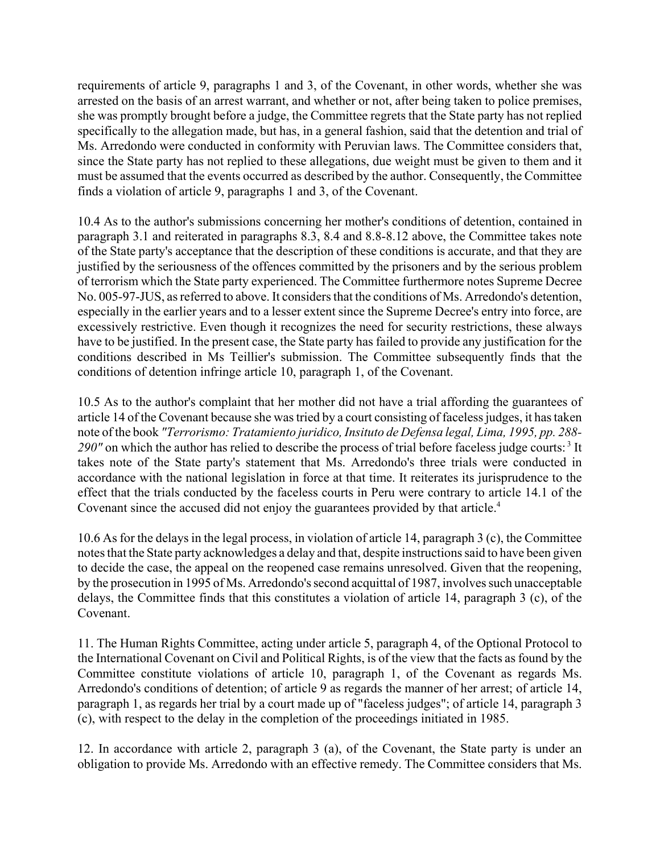requirements of article 9, paragraphs 1 and 3, of the Covenant, in other words, whether she was arrested on the basis of an arrest warrant, and whether or not, after being taken to police premises, she was promptly brought before a judge, the Committee regrets that the State party has not replied specifically to the allegation made, but has, in a general fashion, said that the detention and trial of Ms. Arredondo were conducted in conformity with Peruvian laws. The Committee considers that, since the State party has not replied to these allegations, due weight must be given to them and it must be assumed that the events occurred as described by the author. Consequently, the Committee finds a violation of article 9, paragraphs 1 and 3, of the Covenant.

10.4 As to the author's submissions concerning her mother's conditions of detention, contained in paragraph 3.1 and reiterated in paragraphs 8.3, 8.4 and 8.8-8.12 above, the Committee takes note of the State party's acceptance that the description of these conditions is accurate, and that they are justified by the seriousness of the offences committed by the prisoners and by the serious problem of terrorism which the State party experienced. The Committee furthermore notes Supreme Decree No. 005-97-JUS, as referred to above. It considers that the conditions of Ms. Arredondo's detention, especially in the earlier years and to a lesser extent since the Supreme Decree's entry into force, are excessively restrictive. Even though it recognizes the need for security restrictions, these always have to be justified. In the present case, the State party has failed to provide any justification for the conditions described in Ms Teillier's submission. The Committee subsequently finds that the conditions of detention infringe article 10, paragraph 1, of the Covenant.

10.5 As to the author's complaint that her mother did not have a trial affording the guarantees of article 14 of the Covenant because she was tried by a court consisting of faceless judges, it has taken note of the book *"Terrorismo: Tratamiento juridico, Insituto de Defensa legal, Lima, 1995, pp. 288-* 290" on which the author has relied to describe the process of trial before faceless judge courts:<sup>3</sup> It takes note of the State party's statement that Ms. Arredondo's three trials were conducted in accordance with the national legislation in force at that time. It reiterates its jurisprudence to the effect that the trials conducted by the faceless courts in Peru were contrary to article 14.1 of the Covenant since the accused did not enjoy the guarantees provided by that article.<sup>4</sup>

10.6 As for the delays in the legal process, in violation of article 14, paragraph 3 (c), the Committee notes that the State party acknowledges a delay and that, despite instructions said to have been given to decide the case, the appeal on the reopened case remains unresolved. Given that the reopening, by the prosecution in 1995 of Ms. Arredondo's second acquittal of 1987, involves such unacceptable delays, the Committee finds that this constitutes a violation of article 14, paragraph 3 (c), of the Covenant.

11. The Human Rights Committee, acting under article 5, paragraph 4, of the Optional Protocol to the International Covenant on Civil and Political Rights, is of the view that the facts as found by the Committee constitute violations of article 10, paragraph 1, of the Covenant as regards Ms. Arredondo's conditions of detention; of article 9 as regards the manner of her arrest; of article 14, paragraph 1, as regards her trial by a court made up of "faceless judges"; of article 14, paragraph 3 (c), with respect to the delay in the completion of the proceedings initiated in 1985.

12. In accordance with article 2, paragraph 3 (a), of the Covenant, the State party is under an obligation to provide Ms. Arredondo with an effective remedy. The Committee considers that Ms.